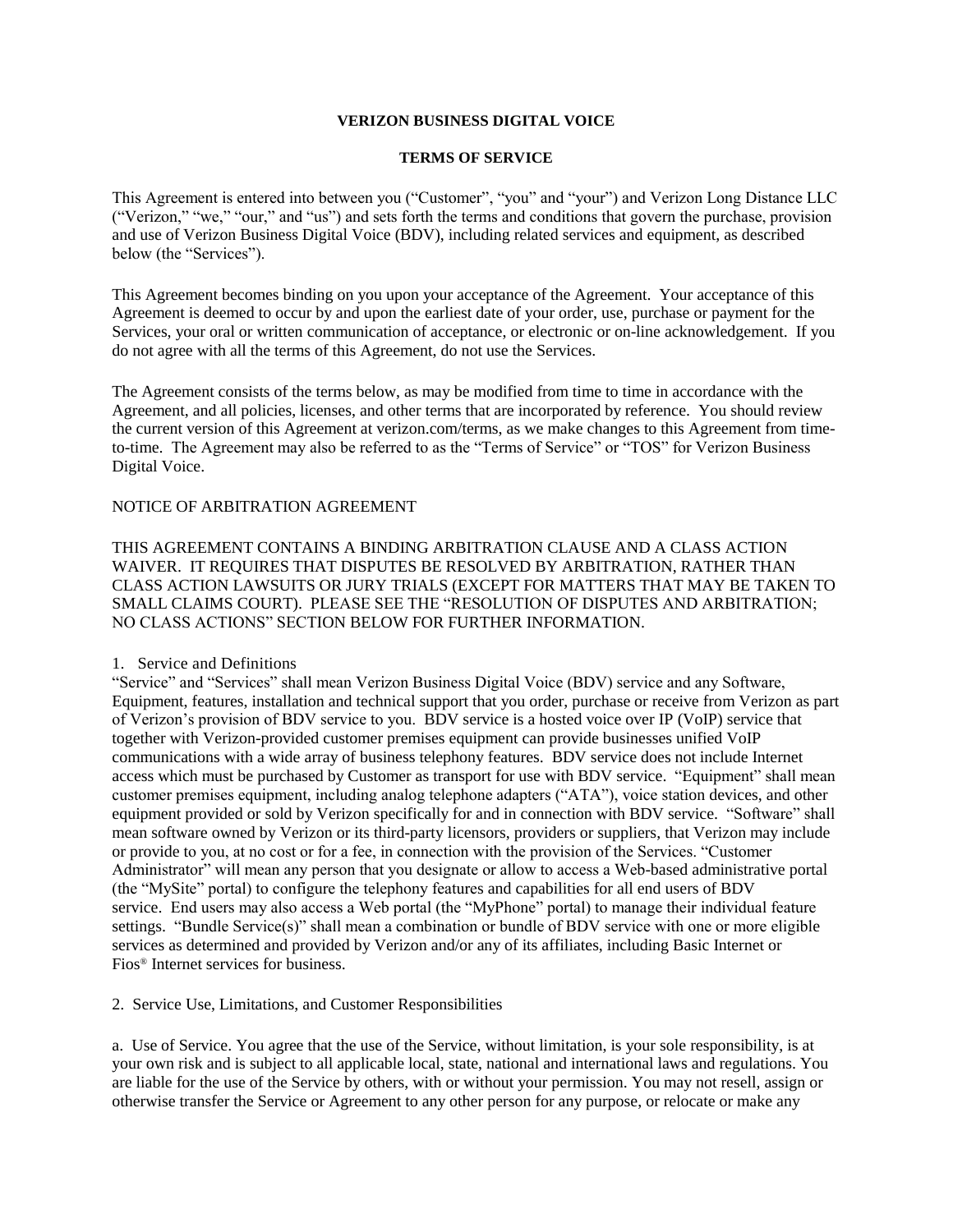### **VERIZON BUSINESS DIGITAL VOICE**

#### **TERMS OF SERVICE**

This Agreement is entered into between you ("Customer", "you" and "your") and Verizon Long Distance LLC ("Verizon," "we," "our," and "us") and sets forth the terms and conditions that govern the purchase, provision and use of Verizon Business Digital Voice (BDV), including related services and equipment, as described below (the "Services").

This Agreement becomes binding on you upon your acceptance of the Agreement. Your acceptance of this Agreement is deemed to occur by and upon the earliest date of your order, use, purchase or payment for the Services, your oral or written communication of acceptance, or electronic or on-line acknowledgement. If you do not agree with all the terms of this Agreement, do not use the Services.

The Agreement consists of the terms below, as may be modified from time to time in accordance with the Agreement, and all policies, licenses, and other terms that are incorporated by reference. You should review the current version of this Agreement at verizon.com/terms, as we make changes to this Agreement from timeto-time. The Agreement may also be referred to as the "Terms of Service" or "TOS" for Verizon Business Digital Voice.

# NOTICE OF ARBITRATION AGREEMENT

THIS AGREEMENT CONTAINS A BINDING ARBITRATION CLAUSE AND A CLASS ACTION WAIVER. IT REQUIRES THAT DISPUTES BE RESOLVED BY ARBITRATION, RATHER THAN CLASS ACTION LAWSUITS OR JURY TRIALS (EXCEPT FOR MATTERS THAT MAY BE TAKEN TO SMALL CLAIMS COURT). PLEASE SEE THE "RESOLUTION OF DISPUTES AND ARBITRATION; NO CLASS ACTIONS" SECTION BELOW FOR FURTHER INFORMATION.

## 1. Service and Definitions

"Service" and "Services" shall mean Verizon Business Digital Voice (BDV) service and any Software, Equipment, features, installation and technical support that you order, purchase or receive from Verizon as part of Verizon's provision of BDV service to you. BDV service is a hosted voice over IP (VoIP) service that together with Verizon-provided customer premises equipment can provide businesses unified VoIP communications with a wide array of business telephony features. BDV service does not include Internet access which must be purchased by Customer as transport for use with BDV service. "Equipment" shall mean customer premises equipment, including analog telephone adapters ("ATA"), voice station devices, and other equipment provided or sold by Verizon specifically for and in connection with BDV service. "Software" shall mean software owned by Verizon or its third-party licensors, providers or suppliers, that Verizon may include or provide to you, at no cost or for a fee, in connection with the provision of the Services. "Customer Administrator" will mean any person that you designate or allow to access a Web-based administrative portal (the "MySite" portal) to configure the telephony features and capabilities for all end users of BDV service. End users may also access a Web portal (the "MyPhone" portal) to manage their individual feature settings. "Bundle Service(s)" shall mean a combination or bundle of BDV service with one or more eligible services as determined and provided by Verizon and/or any of its affiliates, including Basic Internet or Fios® Internet services for business.

2. Service Use, Limitations, and Customer Responsibilities

a. Use of Service. You agree that the use of the Service, without limitation, is your sole responsibility, is at your own risk and is subject to all applicable local, state, national and international laws and regulations. You are liable for the use of the Service by others, with or without your permission. You may not resell, assign or otherwise transfer the Service or Agreement to any other person for any purpose, or relocate or make any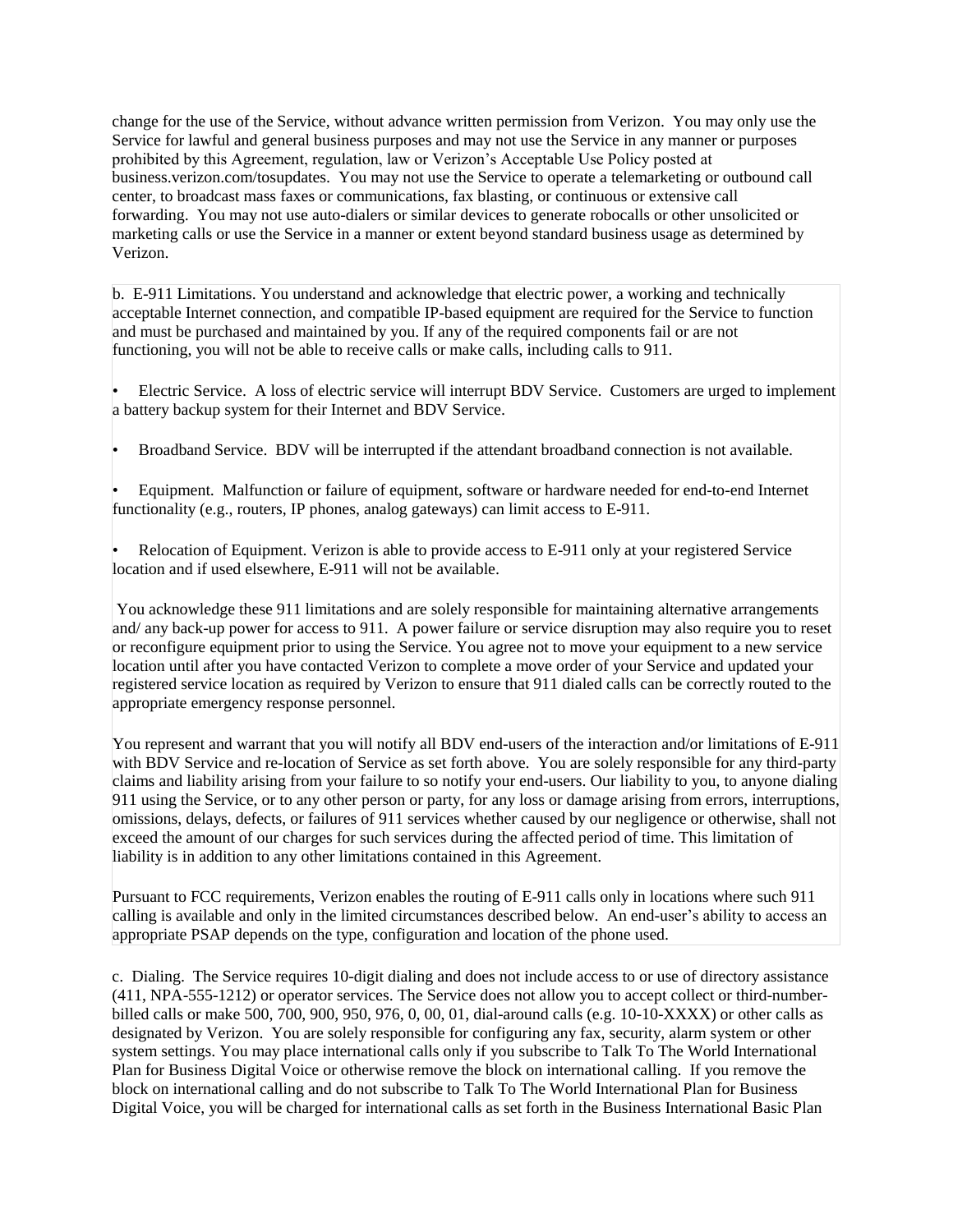change for the use of the Service, without advance written permission from Verizon. You may only use the Service for lawful and general business purposes and may not use the Service in any manner or purposes prohibited by this Agreement, regulation, law or Verizon's Acceptable Use Policy posted at business.verizon.com/tosupdates. You may not use the Service to operate a telemarketing or outbound call center, to broadcast mass faxes or communications, fax blasting, or continuous or extensive call forwarding. You may not use auto-dialers or similar devices to generate robocalls or other unsolicited or marketing calls or use the Service in a manner or extent beyond standard business usage as determined by Verizon.

b. E-911 Limitations. You understand and acknowledge that electric power, a working and technically acceptable Internet connection, and compatible IP-based equipment are required for the Service to function and must be purchased and maintained by you. If any of the required components fail or are not functioning, you will not be able to receive calls or make calls, including calls to 911.

• Electric Service. A loss of electric service will interrupt BDV Service. Customers are urged to implement a battery backup system for their Internet and BDV Service.

• Broadband Service. BDV will be interrupted if the attendant broadband connection is not available.

• Equipment. Malfunction or failure of equipment, software or hardware needed for end-to-end Internet functionality (e.g., routers, IP phones, analog gateways) can limit access to E-911.

• Relocation of Equipment. Verizon is able to provide access to E-911 only at your registered Service location and if used elsewhere, E-911 will not be available.

You acknowledge these 911 limitations and are solely responsible for maintaining alternative arrangements and/ any back-up power for access to 911. A power failure or service disruption may also require you to reset or reconfigure equipment prior to using the Service. You agree not to move your equipment to a new service location until after you have contacted Verizon to complete a move order of your Service and updated your registered service location as required by Verizon to ensure that 911 dialed calls can be correctly routed to the appropriate emergency response personnel.

You represent and warrant that you will notify all BDV end-users of the interaction and/or limitations of E-911 with BDV Service and re-location of Service as set forth above. You are solely responsible for any third-party claims and liability arising from your failure to so notify your end-users. Our liability to you, to anyone dialing 911 using the Service, or to any other person or party, for any loss or damage arising from errors, interruptions, omissions, delays, defects, or failures of 911 services whether caused by our negligence or otherwise, shall not exceed the amount of our charges for such services during the affected period of time. This limitation of liability is in addition to any other limitations contained in this Agreement.

Pursuant to FCC requirements, Verizon enables the routing of E-911 calls only in locations where such 911 calling is available and only in the limited circumstances described below. An end-user's ability to access an appropriate PSAP depends on the type, configuration and location of the phone used.

c. Dialing. The Service requires 10-digit dialing and does not include access to or use of directory assistance (411, NPA-555-1212) or operator services. The Service does not allow you to accept collect or third-numberbilled calls or make 500, 700, 900, 950, 976, 0, 00, 01, dial-around calls (e.g. 10-10-XXXX) or other calls as designated by Verizon. You are solely responsible for configuring any fax, security, alarm system or other system settings. You may place international calls only if you subscribe to Talk To The World International Plan for Business Digital Voice or otherwise remove the block on international calling. If you remove the block on international calling and do not subscribe to Talk To The World International Plan for Business Digital Voice, you will be charged for international calls as set forth in the Business International Basic Plan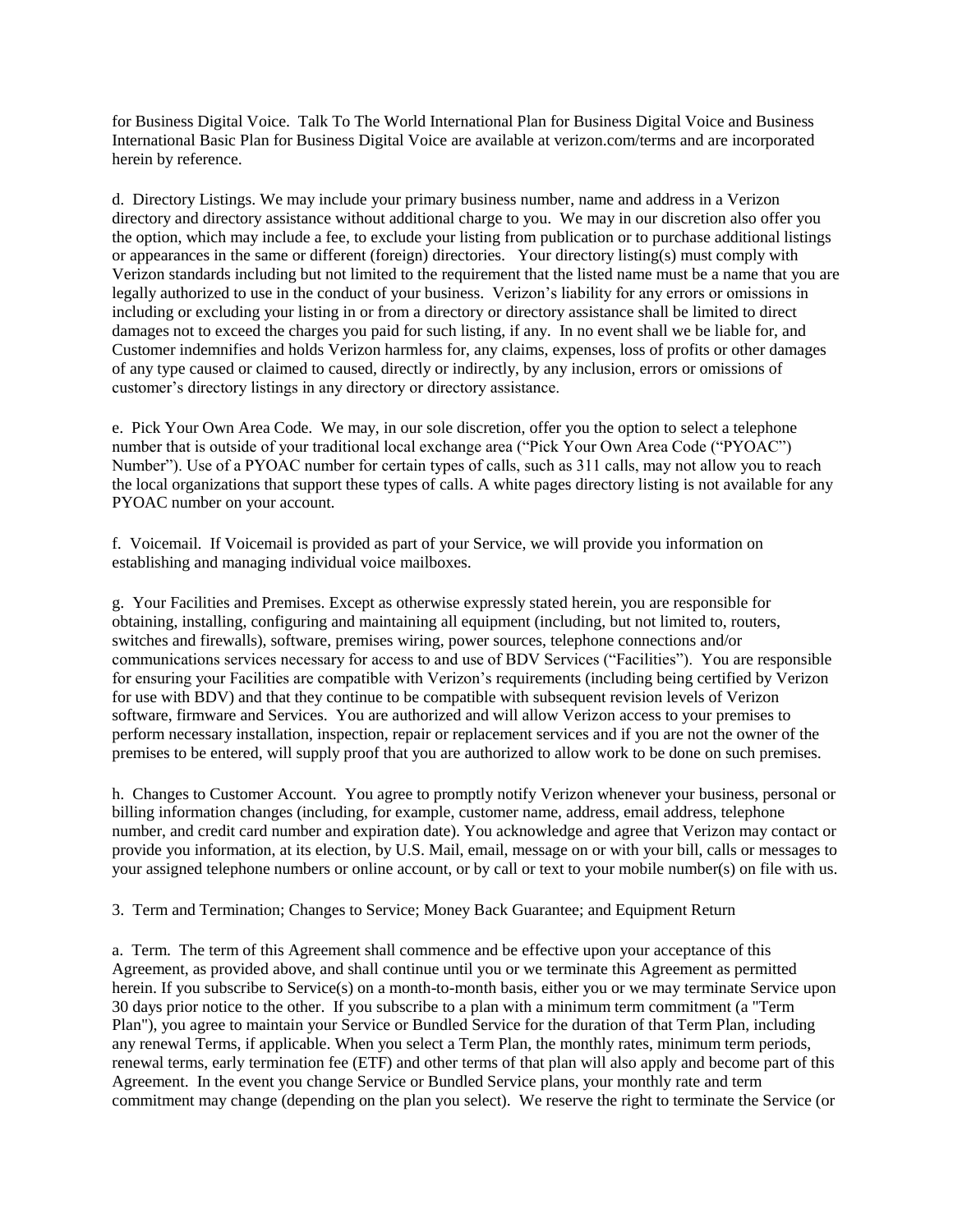for Business Digital Voice. Talk To The World International Plan for Business Digital Voice and Business International Basic Plan for Business Digital Voice are available at verizon.com/terms and are incorporated herein by reference.

d. Directory Listings. We may include your primary business number, name and address in a Verizon directory and directory assistance without additional charge to you. We may in our discretion also offer you the option, which may include a fee, to exclude your listing from publication or to purchase additional listings or appearances in the same or different (foreign) directories. Your directory listing(s) must comply with Verizon standards including but not limited to the requirement that the listed name must be a name that you are legally authorized to use in the conduct of your business. Verizon's liability for any errors or omissions in including or excluding your listing in or from a directory or directory assistance shall be limited to direct damages not to exceed the charges you paid for such listing, if any. In no event shall we be liable for, and Customer indemnifies and holds Verizon harmless for, any claims, expenses, loss of profits or other damages of any type caused or claimed to caused, directly or indirectly, by any inclusion, errors or omissions of customer's directory listings in any directory or directory assistance.

e. Pick Your Own Area Code. We may, in our sole discretion, offer you the option to select a telephone number that is outside of your traditional local exchange area ("Pick Your Own Area Code ("PYOAC") Number"). Use of a PYOAC number for certain types of calls, such as 311 calls, may not allow you to reach the local organizations that support these types of calls. A white pages directory listing is not available for any PYOAC number on your account.

f. Voicemail. If Voicemail is provided as part of your Service, we will provide you information on establishing and managing individual voice mailboxes.

g. Your Facilities and Premises. Except as otherwise expressly stated herein, you are responsible for obtaining, installing, configuring and maintaining all equipment (including, but not limited to, routers, switches and firewalls), software, premises wiring, power sources, telephone connections and/or communications services necessary for access to and use of BDV Services ("Facilities"). You are responsible for ensuring your Facilities are compatible with Verizon's requirements (including being certified by Verizon for use with BDV) and that they continue to be compatible with subsequent revision levels of Verizon software, firmware and Services. You are authorized and will allow Verizon access to your premises to perform necessary installation, inspection, repair or replacement services and if you are not the owner of the premises to be entered, will supply proof that you are authorized to allow work to be done on such premises.

h. Changes to Customer Account. You agree to promptly notify Verizon whenever your business, personal or billing information changes (including, for example, customer name, address, email address, telephone number, and credit card number and expiration date). You acknowledge and agree that Verizon may contact or provide you information, at its election, by U.S. Mail, email, message on or with your bill, calls or messages to your assigned telephone numbers or online account, or by call or text to your mobile number(s) on file with us.

3. Term and Termination; Changes to Service; Money Back Guarantee; and Equipment Return

a. Term. The term of this Agreement shall commence and be effective upon your acceptance of this Agreement, as provided above, and shall continue until you or we terminate this Agreement as permitted herein. If you subscribe to Service(s) on a month-to-month basis, either you or we may terminate Service upon 30 days prior notice to the other. If you subscribe to a plan with a minimum term commitment (a "Term Plan"), you agree to maintain your Service or Bundled Service for the duration of that Term Plan, including any renewal Terms, if applicable. When you select a Term Plan, the monthly rates, minimum term periods, renewal terms, early termination fee (ETF) and other terms of that plan will also apply and become part of this Agreement. In the event you change Service or Bundled Service plans, your monthly rate and term commitment may change (depending on the plan you select). We reserve the right to terminate the Service (or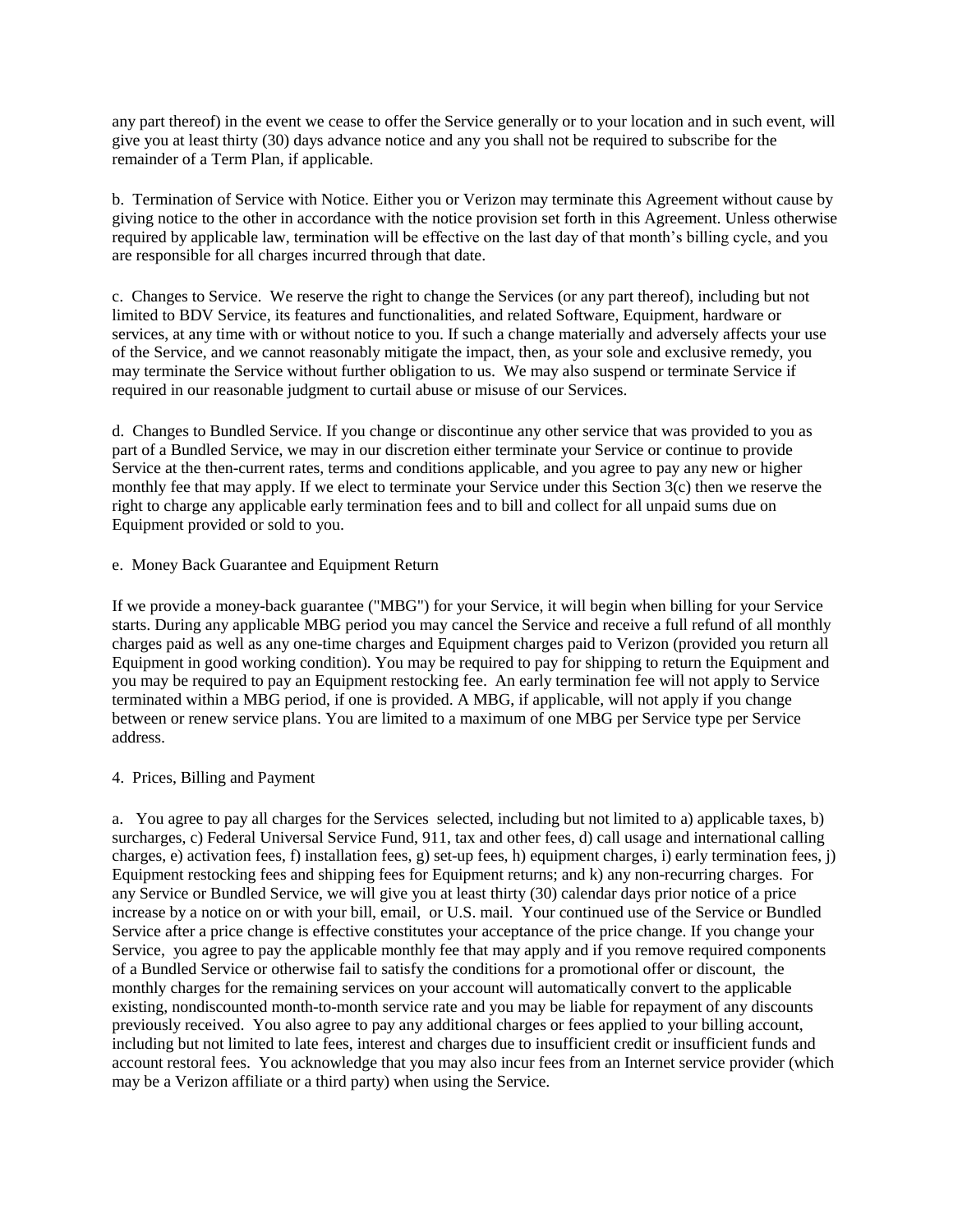any part thereof) in the event we cease to offer the Service generally or to your location and in such event, will give you at least thirty (30) days advance notice and any you shall not be required to subscribe for the remainder of a Term Plan, if applicable.

b. Termination of Service with Notice. Either you or Verizon may terminate this Agreement without cause by giving notice to the other in accordance with the notice provision set forth in this Agreement. Unless otherwise required by applicable law, termination will be effective on the last day of that month's billing cycle, and you are responsible for all charges incurred through that date.

c. Changes to Service. We reserve the right to change the Services (or any part thereof), including but not limited to BDV Service, its features and functionalities, and related Software, Equipment, hardware or services, at any time with or without notice to you. If such a change materially and adversely affects your use of the Service, and we cannot reasonably mitigate the impact, then, as your sole and exclusive remedy, you may terminate the Service without further obligation to us. We may also suspend or terminate Service if required in our reasonable judgment to curtail abuse or misuse of our Services.

d. Changes to Bundled Service. If you change or discontinue any other service that was provided to you as part of a Bundled Service, we may in our discretion either terminate your Service or continue to provide Service at the then-current rates, terms and conditions applicable, and you agree to pay any new or higher monthly fee that may apply. If we elect to terminate your Service under this Section 3(c) then we reserve the right to charge any applicable early termination fees and to bill and collect for all unpaid sums due on Equipment provided or sold to you.

## e. Money Back Guarantee and Equipment Return

If we provide a money-back guarantee ("MBG") for your Service, it will begin when billing for your Service starts. During any applicable MBG period you may cancel the Service and receive a full refund of all monthly charges paid as well as any one-time charges and Equipment charges paid to Verizon (provided you return all Equipment in good working condition). You may be required to pay for shipping to return the Equipment and you may be required to pay an Equipment restocking fee. An early termination fee will not apply to Service terminated within a MBG period, if one is provided. A MBG, if applicable, will not apply if you change between or renew service plans. You are limited to a maximum of one MBG per Service type per Service address.

## 4. Prices, Billing and Payment

a. You agree to pay all charges for the Services selected, including but not limited to a) applicable taxes, b) surcharges, c) Federal Universal Service Fund, 911, tax and other fees, d) call usage and international calling charges, e) activation fees, f) installation fees, g) set-up fees, h) equipment charges, i) early termination fees, j) Equipment restocking fees and shipping fees for Equipment returns; and k) any non-recurring charges. For any Service or Bundled Service, we will give you at least thirty (30) calendar days prior notice of a price increase by a notice on or with your bill, email, or U.S. mail. Your continued use of the Service or Bundled Service after a price change is effective constitutes your acceptance of the price change. If you change your Service, you agree to pay the applicable monthly fee that may apply and if you remove required components of a Bundled Service or otherwise fail to satisfy the conditions for a promotional offer or discount, the monthly charges for the remaining services on your account will automatically convert to the applicable existing, nondiscounted month-to-month service rate and you may be liable for repayment of any discounts previously received. You also agree to pay any additional charges or fees applied to your billing account, including but not limited to late fees, interest and charges due to insufficient credit or insufficient funds and account restoral fees. You acknowledge that you may also incur fees from an Internet service provider (which may be a Verizon affiliate or a third party) when using the Service.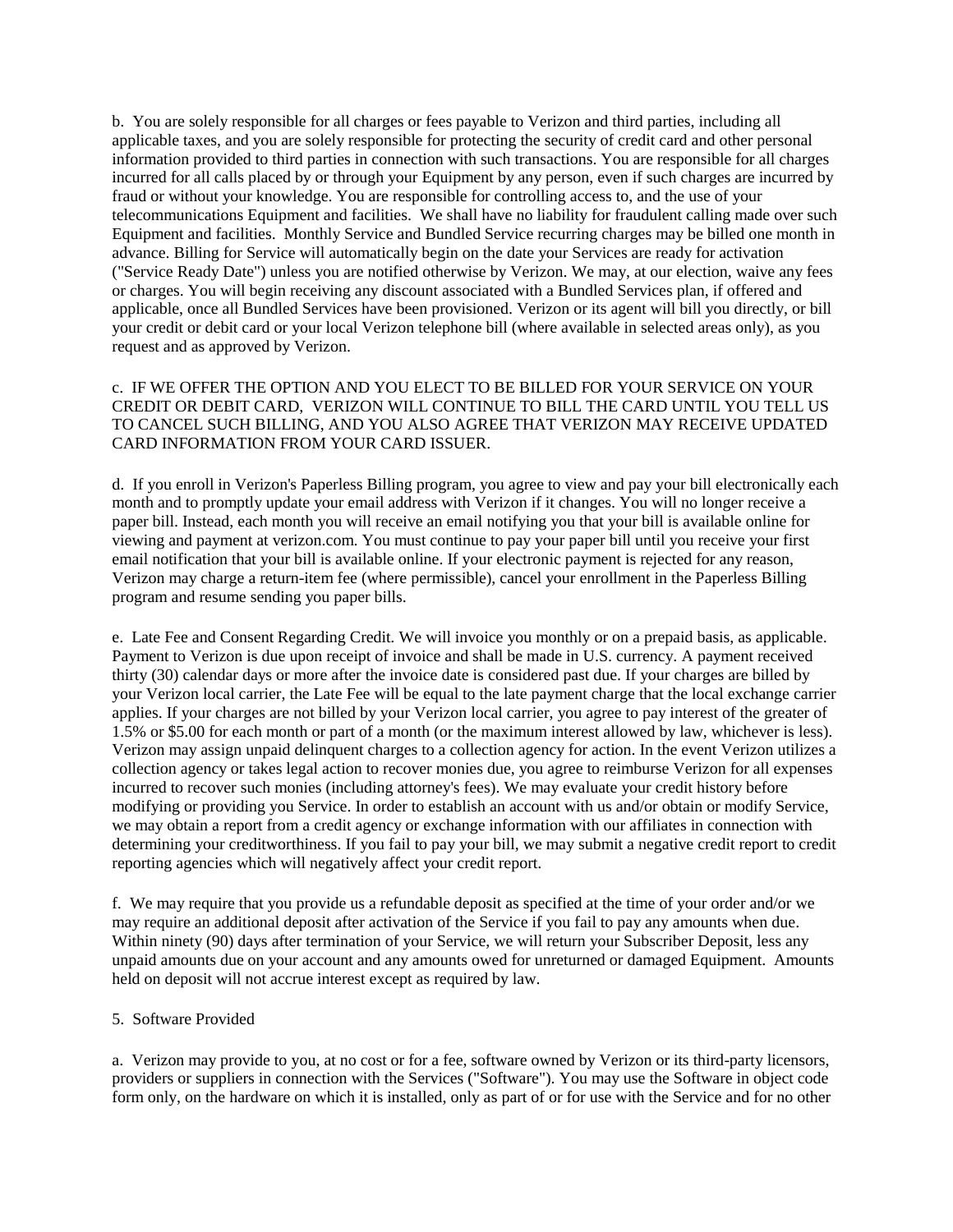b. You are solely responsible for all charges or fees payable to Verizon and third parties, including all applicable taxes, and you are solely responsible for protecting the security of credit card and other personal information provided to third parties in connection with such transactions. You are responsible for all charges incurred for all calls placed by or through your Equipment by any person, even if such charges are incurred by fraud or without your knowledge. You are responsible for controlling access to, and the use of your telecommunications Equipment and facilities. We shall have no liability for fraudulent calling made over such Equipment and facilities. Monthly Service and Bundled Service recurring charges may be billed one month in advance. Billing for Service will automatically begin on the date your Services are ready for activation ("Service Ready Date") unless you are notified otherwise by Verizon. We may, at our election, waive any fees or charges. You will begin receiving any discount associated with a Bundled Services plan, if offered and applicable, once all Bundled Services have been provisioned. Verizon or its agent will bill you directly, or bill your credit or debit card or your local Verizon telephone bill (where available in selected areas only), as you request and as approved by Verizon.

c. IF WE OFFER THE OPTION AND YOU ELECT TO BE BILLED FOR YOUR SERVICE ON YOUR CREDIT OR DEBIT CARD, VERIZON WILL CONTINUE TO BILL THE CARD UNTIL YOU TELL US TO CANCEL SUCH BILLING, AND YOU ALSO AGREE THAT VERIZON MAY RECEIVE UPDATED CARD INFORMATION FROM YOUR CARD ISSUER.

d. If you enroll in Verizon's Paperless Billing program, you agree to view and pay your bill electronically each month and to promptly update your email address with Verizon if it changes. You will no longer receive a paper bill. Instead, each month you will receive an email notifying you that your bill is available online for viewing and payment at verizon.com. You must continue to pay your paper bill until you receive your first email notification that your bill is available online. If your electronic payment is rejected for any reason, Verizon may charge a return-item fee (where permissible), cancel your enrollment in the Paperless Billing program and resume sending you paper bills.

e. Late Fee and Consent Regarding Credit. We will invoice you monthly or on a prepaid basis, as applicable. Payment to Verizon is due upon receipt of invoice and shall be made in U.S. currency. A payment received thirty (30) calendar days or more after the invoice date is considered past due. If your charges are billed by your Verizon local carrier, the Late Fee will be equal to the late payment charge that the local exchange carrier applies. If your charges are not billed by your Verizon local carrier, you agree to pay interest of the greater of 1.5% or \$5.00 for each month or part of a month (or the maximum interest allowed by law, whichever is less). Verizon may assign unpaid delinquent charges to a collection agency for action. In the event Verizon utilizes a collection agency or takes legal action to recover monies due, you agree to reimburse Verizon for all expenses incurred to recover such monies (including attorney's fees). We may evaluate your credit history before modifying or providing you Service. In order to establish an account with us and/or obtain or modify Service, we may obtain a report from a credit agency or exchange information with our affiliates in connection with determining your creditworthiness. If you fail to pay your bill, we may submit a negative credit report to credit reporting agencies which will negatively affect your credit report.

f. We may require that you provide us a refundable deposit as specified at the time of your order and/or we may require an additional deposit after activation of the Service if you fail to pay any amounts when due. Within ninety (90) days after termination of your Service, we will return your Subscriber Deposit, less any unpaid amounts due on your account and any amounts owed for unreturned or damaged Equipment. Amounts held on deposit will not accrue interest except as required by law.

## 5. Software Provided

a. Verizon may provide to you, at no cost or for a fee, software owned by Verizon or its third-party licensors, providers or suppliers in connection with the Services ("Software"). You may use the Software in object code form only, on the hardware on which it is installed, only as part of or for use with the Service and for no other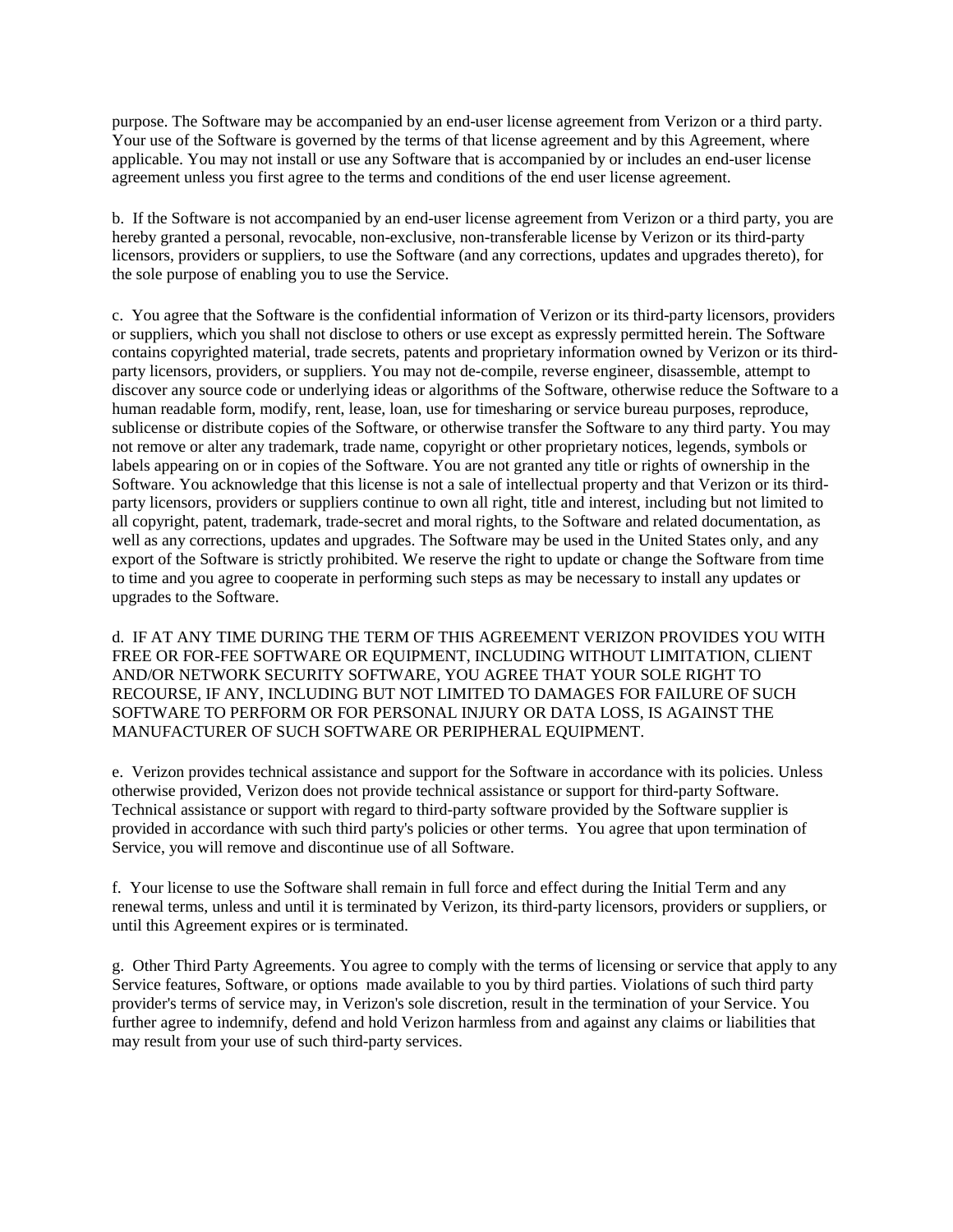purpose. The Software may be accompanied by an end-user license agreement from Verizon or a third party. Your use of the Software is governed by the terms of that license agreement and by this Agreement, where applicable. You may not install or use any Software that is accompanied by or includes an end-user license agreement unless you first agree to the terms and conditions of the end user license agreement.

b. If the Software is not accompanied by an end-user license agreement from Verizon or a third party, you are hereby granted a personal, revocable, non-exclusive, non-transferable license by Verizon or its third-party licensors, providers or suppliers, to use the Software (and any corrections, updates and upgrades thereto), for the sole purpose of enabling you to use the Service.

c. You agree that the Software is the confidential information of Verizon or its third-party licensors, providers or suppliers, which you shall not disclose to others or use except as expressly permitted herein. The Software contains copyrighted material, trade secrets, patents and proprietary information owned by Verizon or its thirdparty licensors, providers, or suppliers. You may not de-compile, reverse engineer, disassemble, attempt to discover any source code or underlying ideas or algorithms of the Software, otherwise reduce the Software to a human readable form, modify, rent, lease, loan, use for timesharing or service bureau purposes, reproduce, sublicense or distribute copies of the Software, or otherwise transfer the Software to any third party. You may not remove or alter any trademark, trade name, copyright or other proprietary notices, legends, symbols or labels appearing on or in copies of the Software. You are not granted any title or rights of ownership in the Software. You acknowledge that this license is not a sale of intellectual property and that Verizon or its thirdparty licensors, providers or suppliers continue to own all right, title and interest, including but not limited to all copyright, patent, trademark, trade-secret and moral rights, to the Software and related documentation, as well as any corrections, updates and upgrades. The Software may be used in the United States only, and any export of the Software is strictly prohibited. We reserve the right to update or change the Software from time to time and you agree to cooperate in performing such steps as may be necessary to install any updates or upgrades to the Software.

d. IF AT ANY TIME DURING THE TERM OF THIS AGREEMENT VERIZON PROVIDES YOU WITH FREE OR FOR-FEE SOFTWARE OR EQUIPMENT, INCLUDING WITHOUT LIMITATION, CLIENT AND/OR NETWORK SECURITY SOFTWARE, YOU AGREE THAT YOUR SOLE RIGHT TO RECOURSE, IF ANY, INCLUDING BUT NOT LIMITED TO DAMAGES FOR FAILURE OF SUCH SOFTWARE TO PERFORM OR FOR PERSONAL INJURY OR DATA LOSS, IS AGAINST THE MANUFACTURER OF SUCH SOFTWARE OR PERIPHERAL EQUIPMENT.

e. Verizon provides technical assistance and support for the Software in accordance with its policies. Unless otherwise provided, Verizon does not provide technical assistance or support for third-party Software. Technical assistance or support with regard to third-party software provided by the Software supplier is provided in accordance with such third party's policies or other terms. You agree that upon termination of Service, you will remove and discontinue use of all Software.

f. Your license to use the Software shall remain in full force and effect during the Initial Term and any renewal terms, unless and until it is terminated by Verizon, its third-party licensors, providers or suppliers, or until this Agreement expires or is terminated.

g. Other Third Party Agreements. You agree to comply with the terms of licensing or service that apply to any Service features, Software, or options made available to you by third parties. Violations of such third party provider's terms of service may, in Verizon's sole discretion, result in the termination of your Service. You further agree to indemnify, defend and hold Verizon harmless from and against any claims or liabilities that may result from your use of such third-party services.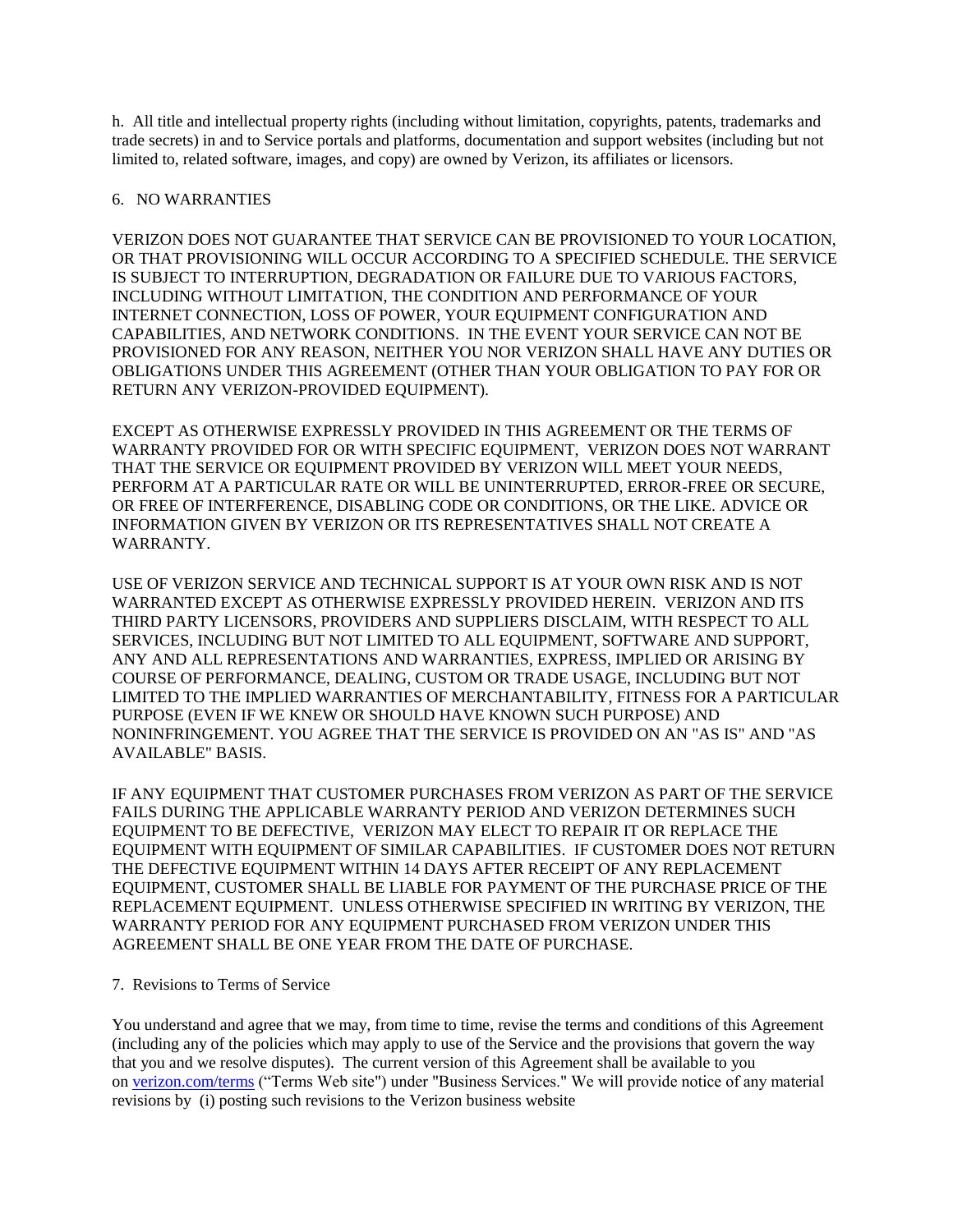h. All title and intellectual property rights (including without limitation, copyrights, patents, trademarks and trade secrets) in and to Service portals and platforms, documentation and support websites (including but not limited to, related software, images, and copy) are owned by Verizon, its affiliates or licensors.

# 6. NO WARRANTIES

VERIZON DOES NOT GUARANTEE THAT SERVICE CAN BE PROVISIONED TO YOUR LOCATION, OR THAT PROVISIONING WILL OCCUR ACCORDING TO A SPECIFIED SCHEDULE. THE SERVICE IS SUBJECT TO INTERRUPTION, DEGRADATION OR FAILURE DUE TO VARIOUS FACTORS, INCLUDING WITHOUT LIMITATION, THE CONDITION AND PERFORMANCE OF YOUR INTERNET CONNECTION, LOSS OF POWER, YOUR EQUIPMENT CONFIGURATION AND CAPABILITIES, AND NETWORK CONDITIONS. IN THE EVENT YOUR SERVICE CAN NOT BE PROVISIONED FOR ANY REASON, NEITHER YOU NOR VERIZON SHALL HAVE ANY DUTIES OR OBLIGATIONS UNDER THIS AGREEMENT (OTHER THAN YOUR OBLIGATION TO PAY FOR OR RETURN ANY VERIZON-PROVIDED EQUIPMENT).

EXCEPT AS OTHERWISE EXPRESSLY PROVIDED IN THIS AGREEMENT OR THE TERMS OF WARRANTY PROVIDED FOR OR WITH SPECIFIC EQUIPMENT, VERIZON DOES NOT WARRANT THAT THE SERVICE OR EQUIPMENT PROVIDED BY VERIZON WILL MEET YOUR NEEDS, PERFORM AT A PARTICULAR RATE OR WILL BE UNINTERRUPTED, ERROR-FREE OR SECURE, OR FREE OF INTERFERENCE, DISABLING CODE OR CONDITIONS, OR THE LIKE. ADVICE OR INFORMATION GIVEN BY VERIZON OR ITS REPRESENTATIVES SHALL NOT CREATE A WARRANTY.

USE OF VERIZON SERVICE AND TECHNICAL SUPPORT IS AT YOUR OWN RISK AND IS NOT WARRANTED EXCEPT AS OTHERWISE EXPRESSLY PROVIDED HEREIN. VERIZON AND ITS THIRD PARTY LICENSORS, PROVIDERS AND SUPPLIERS DISCLAIM, WITH RESPECT TO ALL SERVICES, INCLUDING BUT NOT LIMITED TO ALL EQUIPMENT, SOFTWARE AND SUPPORT, ANY AND ALL REPRESENTATIONS AND WARRANTIES, EXPRESS, IMPLIED OR ARISING BY COURSE OF PERFORMANCE, DEALING, CUSTOM OR TRADE USAGE, INCLUDING BUT NOT LIMITED TO THE IMPLIED WARRANTIES OF MERCHANTABILITY, FITNESS FOR A PARTICULAR PURPOSE (EVEN IF WE KNEW OR SHOULD HAVE KNOWN SUCH PURPOSE) AND NONINFRINGEMENT. YOU AGREE THAT THE SERVICE IS PROVIDED ON AN "AS IS" AND "AS AVAILABLE" BASIS.

IF ANY EQUIPMENT THAT CUSTOMER PURCHASES FROM VERIZON AS PART OF THE SERVICE FAILS DURING THE APPLICABLE WARRANTY PERIOD AND VERIZON DETERMINES SUCH EQUIPMENT TO BE DEFECTIVE, VERIZON MAY ELECT TO REPAIR IT OR REPLACE THE EQUIPMENT WITH EQUIPMENT OF SIMILAR CAPABILITIES. IF CUSTOMER DOES NOT RETURN THE DEFECTIVE EQUIPMENT WITHIN 14 DAYS AFTER RECEIPT OF ANY REPLACEMENT EQUIPMENT, CUSTOMER SHALL BE LIABLE FOR PAYMENT OF THE PURCHASE PRICE OF THE REPLACEMENT EQUIPMENT. UNLESS OTHERWISE SPECIFIED IN WRITING BY VERIZON, THE WARRANTY PERIOD FOR ANY EQUIPMENT PURCHASED FROM VERIZON UNDER THIS AGREEMENT SHALL BE ONE YEAR FROM THE DATE OF PURCHASE.

## 7. Revisions to Terms of Service

You understand and agree that we may, from time to time, revise the terms and conditions of this Agreement (including any of the policies which may apply to use of the Service and the provisions that govern the way that you and we resolve disputes). The current version of this Agreement shall be available to you on [verizon.com/terms](http://www.verizon.com/about/terms/) ("Terms Web site") under "Business Services." We will provide notice of any material revisions by (i) posting such revisions to the Verizon business website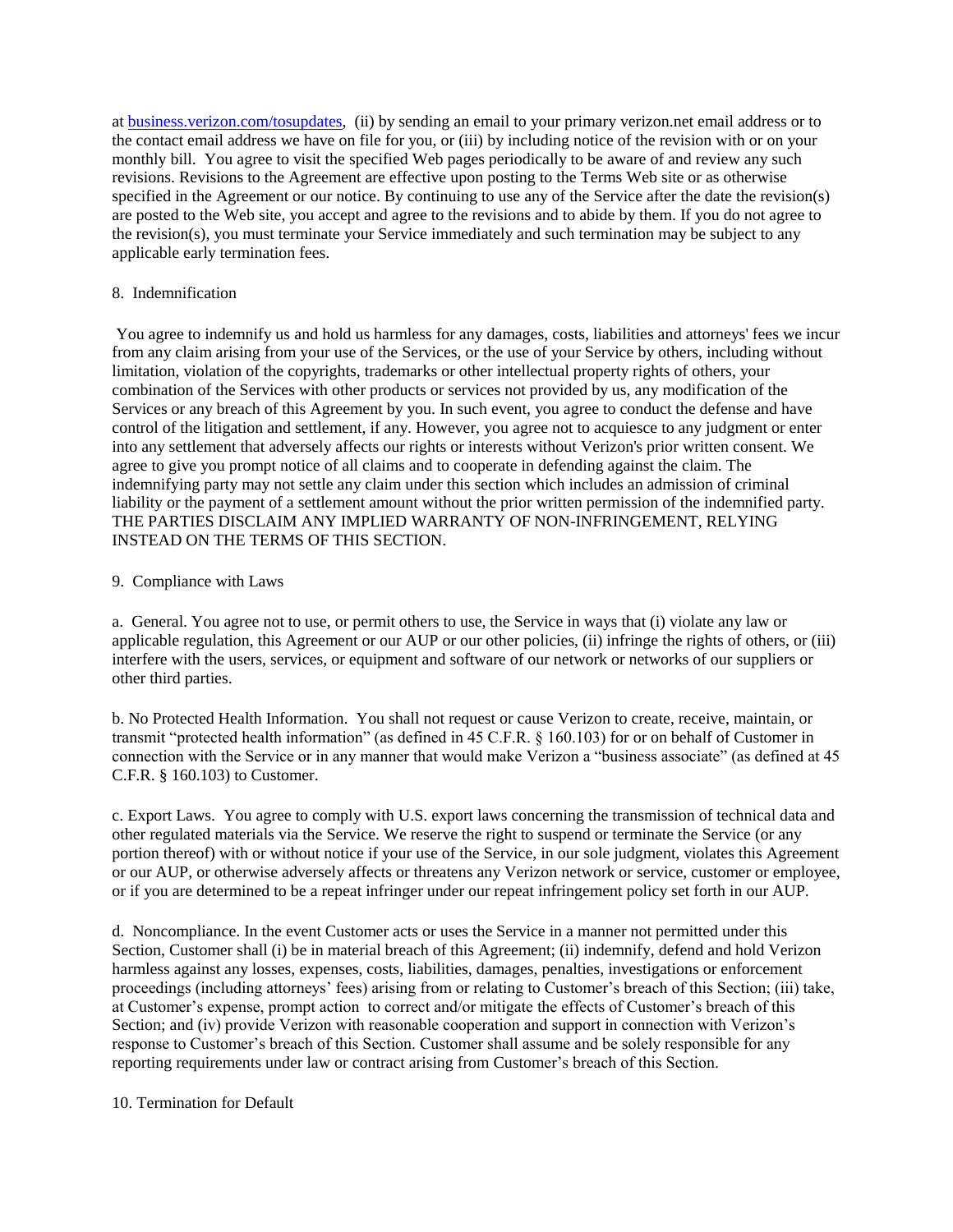at [business.verizon.com/tosupdates,](http://business.verizon.com/tosupdates) (ii) by sending an email to your primary verizon.net email address or to the contact email address we have on file for you, or (iii) by including notice of the revision with or on your monthly bill. You agree to visit the specified Web pages periodically to be aware of and review any such revisions. Revisions to the Agreement are effective upon posting to the Terms Web site or as otherwise specified in the Agreement or our notice. By continuing to use any of the Service after the date the revision(s) are posted to the Web site, you accept and agree to the revisions and to abide by them. If you do not agree to the revision(s), you must terminate your Service immediately and such termination may be subject to any applicable early termination fees.

## 8. Indemnification

You agree to indemnify us and hold us harmless for any damages, costs, liabilities and attorneys' fees we incur from any claim arising from your use of the Services, or the use of your Service by others, including without limitation, violation of the copyrights, trademarks or other intellectual property rights of others, your combination of the Services with other products or services not provided by us, any modification of the Services or any breach of this Agreement by you. In such event, you agree to conduct the defense and have control of the litigation and settlement, if any. However, you agree not to acquiesce to any judgment or enter into any settlement that adversely affects our rights or interests without Verizon's prior written consent. We agree to give you prompt notice of all claims and to cooperate in defending against the claim. The indemnifying party may not settle any claim under this section which includes an admission of criminal liability or the payment of a settlement amount without the prior written permission of the indemnified party. THE PARTIES DISCLAIM ANY IMPLIED WARRANTY OF NON-INFRINGEMENT, RELYING INSTEAD ON THE TERMS OF THIS SECTION.

## 9. Compliance with Laws

a. General. You agree not to use, or permit others to use, the Service in ways that (i) violate any law or applicable regulation, this Agreement or our AUP or our other policies, (ii) infringe the rights of others, or (iii) interfere with the users, services, or equipment and software of our network or networks of our suppliers or other third parties.

b. No Protected Health Information. You shall not request or cause Verizon to create, receive, maintain, or transmit "protected health information" (as defined in 45 C.F.R. § 160.103) for or on behalf of Customer in connection with the Service or in any manner that would make Verizon a "business associate" (as defined at 45 C.F.R. § 160.103) to Customer.

c. Export Laws. You agree to comply with U.S. export laws concerning the transmission of technical data and other regulated materials via the Service. We reserve the right to suspend or terminate the Service (or any portion thereof) with or without notice if your use of the Service, in our sole judgment, violates this Agreement or our AUP, or otherwise adversely affects or threatens any Verizon network or service, customer or employee, or if you are determined to be a repeat infringer under our repeat infringement policy set forth in our AUP.

d. Noncompliance. In the event Customer acts or uses the Service in a manner not permitted under this Section, Customer shall (i) be in material breach of this Agreement; (ii) indemnify, defend and hold Verizon harmless against any losses, expenses, costs, liabilities, damages, penalties, investigations or enforcement proceedings (including attorneys' fees) arising from or relating to Customer's breach of this Section; (iii) take, at Customer's expense, prompt action to correct and/or mitigate the effects of Customer's breach of this Section; and (iv) provide Verizon with reasonable cooperation and support in connection with Verizon's response to Customer's breach of this Section. Customer shall assume and be solely responsible for any reporting requirements under law or contract arising from Customer's breach of this Section.

# 10. Termination for Default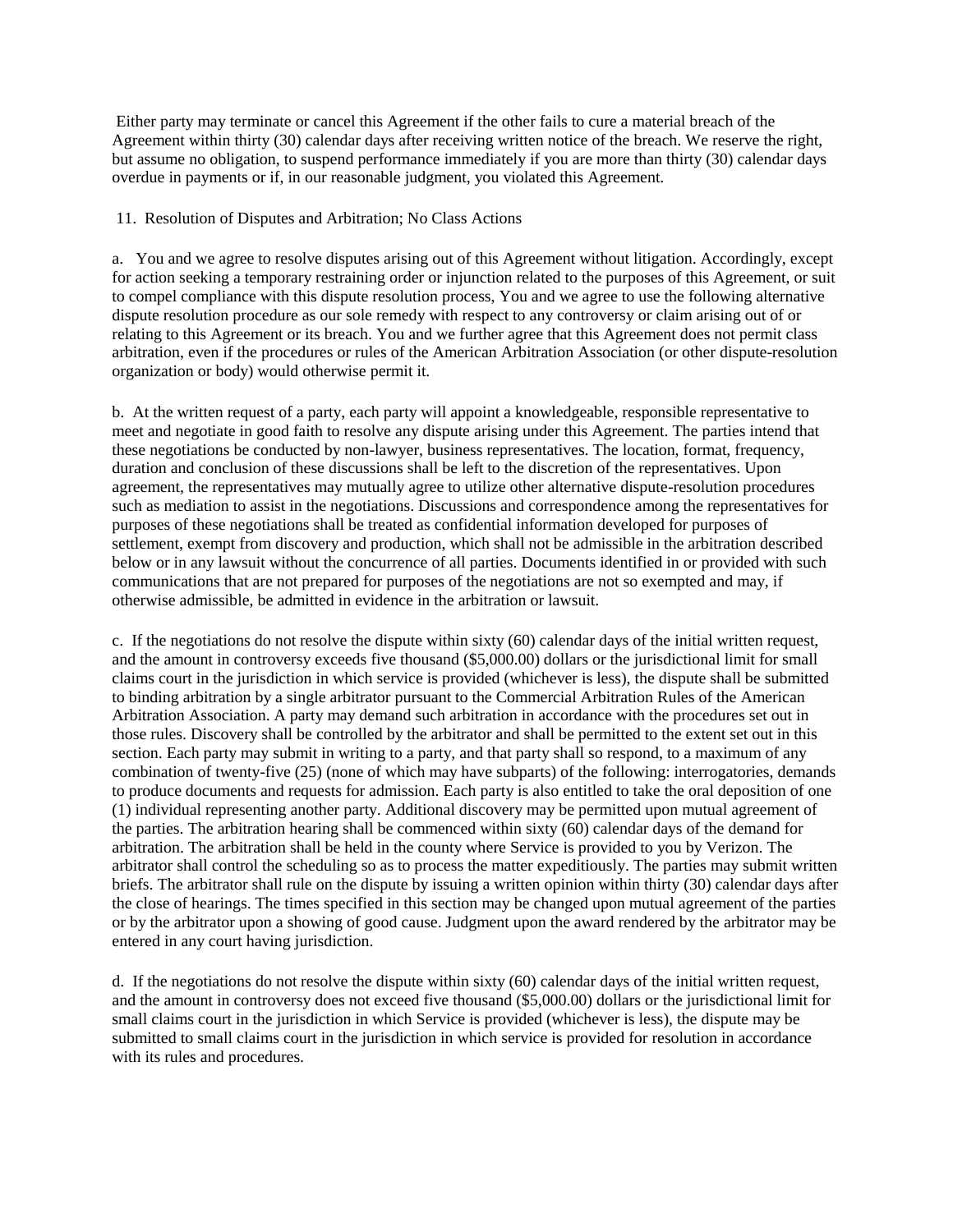Either party may terminate or cancel this Agreement if the other fails to cure a material breach of the Agreement within thirty (30) calendar days after receiving written notice of the breach. We reserve the right, but assume no obligation, to suspend performance immediately if you are more than thirty (30) calendar days overdue in payments or if, in our reasonable judgment, you violated this Agreement.

# 11. Resolution of Disputes and Arbitration; No Class Actions

a. You and we agree to resolve disputes arising out of this Agreement without litigation. Accordingly, except for action seeking a temporary restraining order or injunction related to the purposes of this Agreement, or suit to compel compliance with this dispute resolution process, You and we agree to use the following alternative dispute resolution procedure as our sole remedy with respect to any controversy or claim arising out of or relating to this Agreement or its breach. You and we further agree that this Agreement does not permit class arbitration, even if the procedures or rules of the American Arbitration Association (or other dispute-resolution organization or body) would otherwise permit it.

b. At the written request of a party, each party will appoint a knowledgeable, responsible representative to meet and negotiate in good faith to resolve any dispute arising under this Agreement. The parties intend that these negotiations be conducted by non-lawyer, business representatives. The location, format, frequency, duration and conclusion of these discussions shall be left to the discretion of the representatives. Upon agreement, the representatives may mutually agree to utilize other alternative dispute-resolution procedures such as mediation to assist in the negotiations. Discussions and correspondence among the representatives for purposes of these negotiations shall be treated as confidential information developed for purposes of settlement, exempt from discovery and production, which shall not be admissible in the arbitration described below or in any lawsuit without the concurrence of all parties. Documents identified in or provided with such communications that are not prepared for purposes of the negotiations are not so exempted and may, if otherwise admissible, be admitted in evidence in the arbitration or lawsuit.

c. If the negotiations do not resolve the dispute within sixty (60) calendar days of the initial written request, and the amount in controversy exceeds five thousand (\$5,000.00) dollars or the jurisdictional limit for small claims court in the jurisdiction in which service is provided (whichever is less), the dispute shall be submitted to binding arbitration by a single arbitrator pursuant to the Commercial Arbitration Rules of the American Arbitration Association. A party may demand such arbitration in accordance with the procedures set out in those rules. Discovery shall be controlled by the arbitrator and shall be permitted to the extent set out in this section. Each party may submit in writing to a party, and that party shall so respond, to a maximum of any combination of twenty-five (25) (none of which may have subparts) of the following: interrogatories, demands to produce documents and requests for admission. Each party is also entitled to take the oral deposition of one (1) individual representing another party. Additional discovery may be permitted upon mutual agreement of the parties. The arbitration hearing shall be commenced within sixty (60) calendar days of the demand for arbitration. The arbitration shall be held in the county where Service is provided to you by Verizon. The arbitrator shall control the scheduling so as to process the matter expeditiously. The parties may submit written briefs. The arbitrator shall rule on the dispute by issuing a written opinion within thirty (30) calendar days after the close of hearings. The times specified in this section may be changed upon mutual agreement of the parties or by the arbitrator upon a showing of good cause. Judgment upon the award rendered by the arbitrator may be entered in any court having jurisdiction.

d. If the negotiations do not resolve the dispute within sixty (60) calendar days of the initial written request, and the amount in controversy does not exceed five thousand (\$5,000.00) dollars or the jurisdictional limit for small claims court in the jurisdiction in which Service is provided (whichever is less), the dispute may be submitted to small claims court in the jurisdiction in which service is provided for resolution in accordance with its rules and procedures.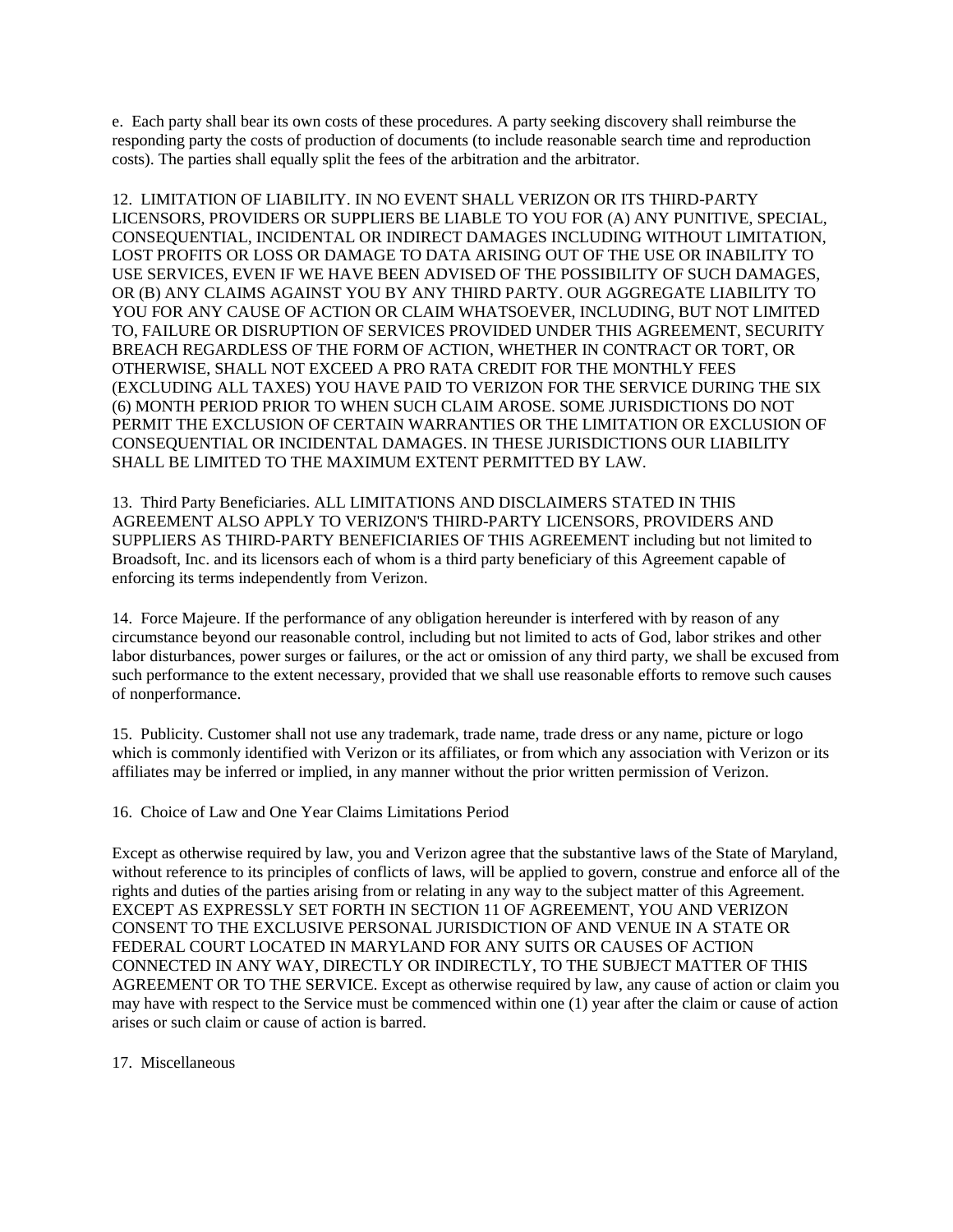e. Each party shall bear its own costs of these procedures. A party seeking discovery shall reimburse the responding party the costs of production of documents (to include reasonable search time and reproduction costs). The parties shall equally split the fees of the arbitration and the arbitrator.

12. LIMITATION OF LIABILITY. IN NO EVENT SHALL VERIZON OR ITS THIRD-PARTY LICENSORS, PROVIDERS OR SUPPLIERS BE LIABLE TO YOU FOR (A) ANY PUNITIVE, SPECIAL, CONSEQUENTIAL, INCIDENTAL OR INDIRECT DAMAGES INCLUDING WITHOUT LIMITATION, LOST PROFITS OR LOSS OR DAMAGE TO DATA ARISING OUT OF THE USE OR INABILITY TO USE SERVICES, EVEN IF WE HAVE BEEN ADVISED OF THE POSSIBILITY OF SUCH DAMAGES, OR (B) ANY CLAIMS AGAINST YOU BY ANY THIRD PARTY. OUR AGGREGATE LIABILITY TO YOU FOR ANY CAUSE OF ACTION OR CLAIM WHATSOEVER, INCLUDING, BUT NOT LIMITED TO, FAILURE OR DISRUPTION OF SERVICES PROVIDED UNDER THIS AGREEMENT, SECURITY BREACH REGARDLESS OF THE FORM OF ACTION, WHETHER IN CONTRACT OR TORT, OR OTHERWISE, SHALL NOT EXCEED A PRO RATA CREDIT FOR THE MONTHLY FEES (EXCLUDING ALL TAXES) YOU HAVE PAID TO VERIZON FOR THE SERVICE DURING THE SIX (6) MONTH PERIOD PRIOR TO WHEN SUCH CLAIM AROSE. SOME JURISDICTIONS DO NOT PERMIT THE EXCLUSION OF CERTAIN WARRANTIES OR THE LIMITATION OR EXCLUSION OF CONSEQUENTIAL OR INCIDENTAL DAMAGES. IN THESE JURISDICTIONS OUR LIABILITY SHALL BE LIMITED TO THE MAXIMUM EXTENT PERMITTED BY LAW.

13. Third Party Beneficiaries. ALL LIMITATIONS AND DISCLAIMERS STATED IN THIS AGREEMENT ALSO APPLY TO VERIZON'S THIRD-PARTY LICENSORS, PROVIDERS AND SUPPLIERS AS THIRD-PARTY BENEFICIARIES OF THIS AGREEMENT including but not limited to Broadsoft, Inc. and its licensors each of whom is a third party beneficiary of this Agreement capable of enforcing its terms independently from Verizon.

14. Force Majeure. If the performance of any obligation hereunder is interfered with by reason of any circumstance beyond our reasonable control, including but not limited to acts of God, labor strikes and other labor disturbances, power surges or failures, or the act or omission of any third party, we shall be excused from such performance to the extent necessary, provided that we shall use reasonable efforts to remove such causes of nonperformance.

15. Publicity. Customer shall not use any trademark, trade name, trade dress or any name, picture or logo which is commonly identified with Verizon or its affiliates, or from which any association with Verizon or its affiliates may be inferred or implied, in any manner without the prior written permission of Verizon.

16. Choice of Law and One Year Claims Limitations Period

Except as otherwise required by law, you and Verizon agree that the substantive laws of the State of Maryland, without reference to its principles of conflicts of laws, will be applied to govern, construe and enforce all of the rights and duties of the parties arising from or relating in any way to the subject matter of this Agreement. EXCEPT AS EXPRESSLY SET FORTH IN SECTION 11 OF AGREEMENT, YOU AND VERIZON CONSENT TO THE EXCLUSIVE PERSONAL JURISDICTION OF AND VENUE IN A STATE OR FEDERAL COURT LOCATED IN MARYLAND FOR ANY SUITS OR CAUSES OF ACTION CONNECTED IN ANY WAY, DIRECTLY OR INDIRECTLY, TO THE SUBJECT MATTER OF THIS AGREEMENT OR TO THE SERVICE. Except as otherwise required by law, any cause of action or claim you may have with respect to the Service must be commenced within one (1) year after the claim or cause of action arises or such claim or cause of action is barred.

## 17. Miscellaneous